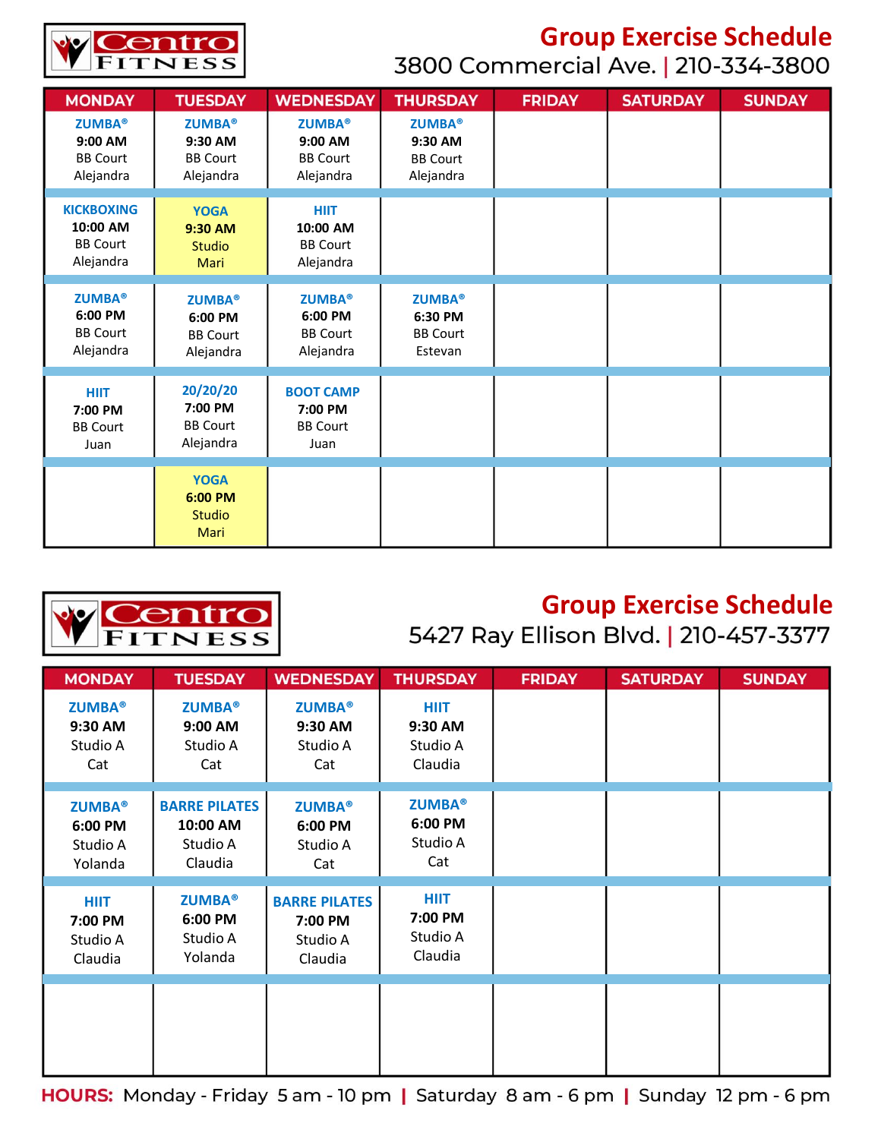

## **Group Exercise Schedule**<br>3800 Commercial Ave. | 210-334-3800

| <b>MONDAY</b>                                                 | <b>TUESDAY</b>                                           | <b>WEDNESDAY</b>                                         | <b>THURSDAY</b>                                          | <b>FRIDAY</b> | <b>SATURDAY</b> | <b>SUNDAY</b> |
|---------------------------------------------------------------|----------------------------------------------------------|----------------------------------------------------------|----------------------------------------------------------|---------------|-----------------|---------------|
| <b>ZUMBA®</b><br>9:00 AM<br><b>BB Court</b><br>Alejandra      | <b>ZUMBA®</b><br>9:30 AM<br><b>BB Court</b><br>Alejandra | <b>ZUMBA®</b><br>9:00 AM<br><b>BB Court</b><br>Alejandra | <b>ZUMBA®</b><br>9:30 AM<br><b>BB Court</b><br>Alejandra |               |                 |               |
| <b>KICKBOXING</b><br>10:00 AM<br><b>BB Court</b><br>Alejandra | <b>YOGA</b><br>9:30 AM<br><b>Studio</b><br>Mari          | <b>HIIT</b><br>10:00 AM<br><b>BB Court</b><br>Alejandra  |                                                          |               |                 |               |
| <b>ZUMBA®</b><br>6:00 PM<br><b>BB Court</b><br>Alejandra      | <b>ZUMBA®</b><br>6:00 PM<br><b>BB Court</b><br>Alejandra | <b>ZUMBA®</b><br>6:00 PM<br><b>BB Court</b><br>Alejandra | <b>ZUMBA®</b><br>6:30 PM<br><b>BB Court</b><br>Estevan   |               |                 |               |
| <b>HIIT</b><br>7:00 PM<br><b>BB Court</b><br>Juan             | 20/20/20<br>7:00 PM<br><b>BB Court</b><br>Alejandra      | <b>BOOT CAMP</b><br>7:00 PM<br><b>BB Court</b><br>Juan   |                                                          |               |                 |               |
|                                                               | YOGA<br>6:00 PM<br><b>Studio</b><br>Mari                 |                                                          |                                                          |               |                 |               |



## **Group Exercise Schedule**<br>5427 Ray Ellison Blvd. | 210-457-3377

| <b>MONDAY</b>                                   | <b>TUESDAY</b>                                          | <b>WEDNESDAY</b>                                       | <b>THURSDAY</b>                               | <b>FRIDAY</b> | <b>SATURDAY</b> | <b>SUNDAY</b> |
|-------------------------------------------------|---------------------------------------------------------|--------------------------------------------------------|-----------------------------------------------|---------------|-----------------|---------------|
| <b>ZUMBA®</b><br>9:30 AM<br>Studio A<br>Cat     | <b>ZUMBA®</b><br>9:00 AM<br>Studio A<br>Cat             | <b>ZUMBA®</b><br>9:30 AM<br>Studio A<br>Cat            | <b>HIIT</b><br>9:30 AM<br>Studio A<br>Claudia |               |                 |               |
| <b>ZUMBA®</b><br>6:00 PM<br>Studio A<br>Yolanda | <b>BARRE PILATES</b><br>10:00 AM<br>Studio A<br>Claudia | <b>ZUMBA®</b><br>6:00 PM<br>Studio A<br>Cat            | <b>ZUMBA®</b><br>6:00 PM<br>Studio A<br>Cat   |               |                 |               |
| <b>HIIT</b><br>7:00 PM<br>Studio A<br>Claudia   | <b>ZUMBA®</b><br>6:00 PM<br>Studio A<br>Yolanda         | <b>BARRE PILATES</b><br>7:00 PM<br>Studio A<br>Claudia | <b>HIIT</b><br>7:00 PM<br>Studio A<br>Claudia |               |                 |               |
|                                                 |                                                         |                                                        |                                               |               |                 |               |

HOURS: Monday - Friday 5 am - 10 pm | Saturday 8 am - 6 pm | Sunday 12 pm - 6 pm